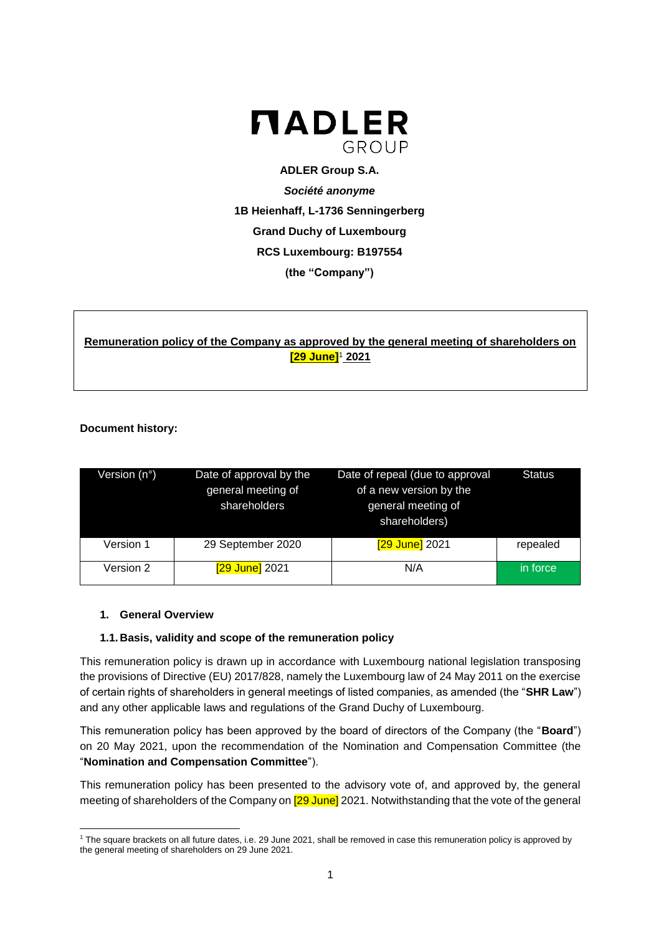

**ADLER Group S.A.** *Société anonyme* **1B Heienhaff, L-1736 Senningerberg Grand Duchy of Luxembourg RCS Luxembourg: B197554 (the "Company")**

# **Remuneration policy of the Company as approved by the general meeting of shareholders on [29 June]**<sup>1</sup> **2021**

# **Document history:**

| Version (n°) | Date of approval by the<br>general meeting of<br>shareholders | Date of repeal (due to approval<br>of a new version by the<br>general meeting of<br>shareholders) | <b>Status</b> |
|--------------|---------------------------------------------------------------|---------------------------------------------------------------------------------------------------|---------------|
| Version 1    | 29 September 2020                                             | [29 June] 2021                                                                                    | repealed      |
| Version 2    | [29 June] 2021                                                | N/A                                                                                               | in force      |

### **1. General Overview**

### **1.1.Basis, validity and scope of the remuneration policy**

This remuneration policy is drawn up in accordance with Luxembourg national legislation transposing the provisions of Directive (EU) 2017/828, namely the Luxembourg law of 24 May 2011 on the exercise of certain rights of shareholders in general meetings of listed companies, as amended (the "**SHR Law**") and any other applicable laws and regulations of the Grand Duchy of Luxembourg.

This remuneration policy has been approved by the board of directors of the Company (the "**Board**") on 20 May 2021, upon the recommendation of the Nomination and Compensation Committee (the "**Nomination and Compensation Committee**").

This remuneration policy has been presented to the advisory vote of, and approved by, the general meeting of shareholders of the Company on **[29 June]** 2021. Notwithstanding that the vote of the general

**<sup>.</sup>** <sup>1</sup> The square brackets on all future dates, i.e. 29 June 2021, shall be removed in case this remuneration policy is approved by the general meeting of shareholders on 29 June 2021.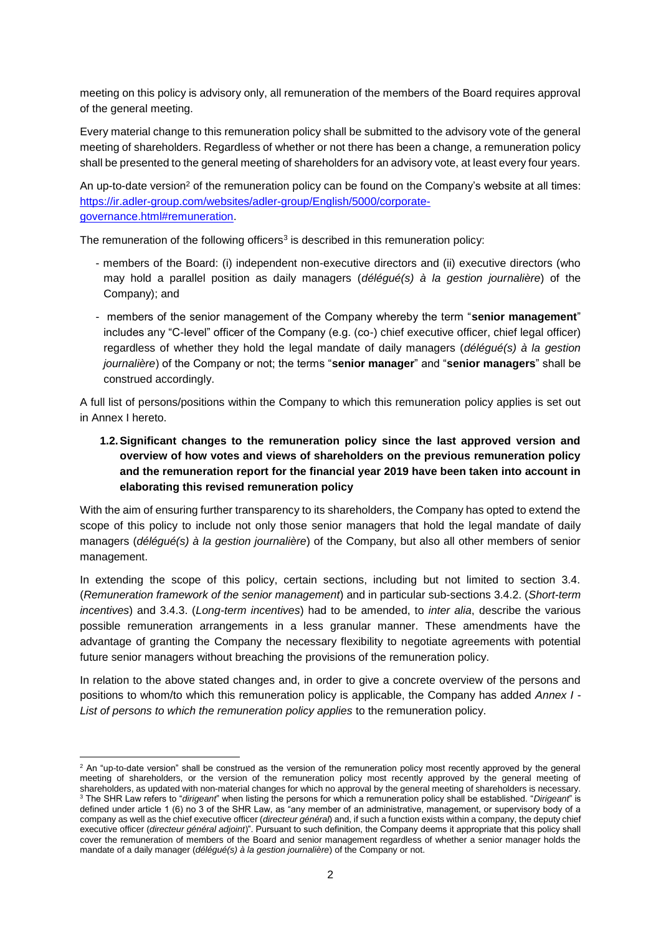meeting on this policy is advisory only, all remuneration of the members of the Board requires approval of the general meeting.

Every material change to this remuneration policy shall be submitted to the advisory vote of the general meeting of shareholders. Regardless of whether or not there has been a change, a remuneration policy shall be presented to the general meeting of shareholders for an advisory vote, at least every four years.

An up-to-date version<sup>2</sup> of the remuneration policy can be found on the Company's website at all times: [https://ir.adler-group.com/websites/adler-group/English/5000/corporate](https://ir.adler-group.com/websites/adler-group/English/5000/corporate-governance.html#remuneration)[governance.html#remuneration.](https://ir.adler-group.com/websites/adler-group/English/5000/corporate-governance.html#remuneration)

The remuneration of the following officers<sup>3</sup> is described in this remuneration policy:

- members of the Board: (i) independent non-executive directors and (ii) executive directors (who may hold a parallel position as daily managers (*délégué(s) à la gestion journalière*) of the Company); and
- members of the senior management of the Company whereby the term "**senior management**" includes any "C-level" officer of the Company (e.g. (co-) chief executive officer, chief legal officer) regardless of whether they hold the legal mandate of daily managers (*délégué(s) à la gestion journalière*) of the Company or not; the terms "**senior manager**" and "**senior managers**" shall be construed accordingly.

A full list of persons/positions within the Company to which this remuneration policy applies is set out in Annex I hereto.

**1.2.Significant changes to the remuneration policy since the last approved version and overview of how votes and views of shareholders on the previous remuneration policy and the remuneration report for the financial year 2019 have been taken into account in elaborating this revised remuneration policy**

With the aim of ensuring further transparency to its shareholders, the Company has opted to extend the scope of this policy to include not only those senior managers that hold the legal mandate of daily managers (*délégué(s) à la gestion journalière*) of the Company, but also all other members of senior management.

In extending the scope of this policy, certain sections, including but not limited to section 3.4. (*Remuneration framework of the senior management*) and in particular sub-sections 3.4.2. (*Short-term incentives*) and 3.4.3. (*Long-term incentives*) had to be amended, to *inter alia*, describe the various possible remuneration arrangements in a less granular manner. These amendments have the advantage of granting the Company the necessary flexibility to negotiate agreements with potential future senior managers without breaching the provisions of the remuneration policy.

In relation to the above stated changes and, in order to give a concrete overview of the persons and positions to whom/to which this remuneration policy is applicable, the Company has added *Annex I - List of persons to which the remuneration policy applies* to the remuneration policy.

**.** 

<sup>&</sup>lt;sup>2</sup> An "up-to-date version" shall be construed as the version of the remuneration policy most recently approved by the general meeting of shareholders, or the version of the remuneration policy most recently approved by the general meeting of shareholders, as updated with non-material changes for which no approval by the general meeting of shareholders is necessary. <sup>3</sup> The SHR Law refers to "*dirigeant*" when listing the persons for which a remuneration policy shall be established. "*Dirigeant*" is defined under article 1 (6) no 3 of the SHR Law, as "any member of an administrative, management, or supervisory body of a company as well as the chief executive officer (*directeur général*) and, if such a function exists within a company, the deputy chief executive officer (*directeur général adjoint*)". Pursuant to such definition, the Company deems it appropriate that this policy shall cover the remuneration of members of the Board and senior management regardless of whether a senior manager holds the mandate of a daily manager (*délégué(s) à la gestion journalière*) of the Company or not.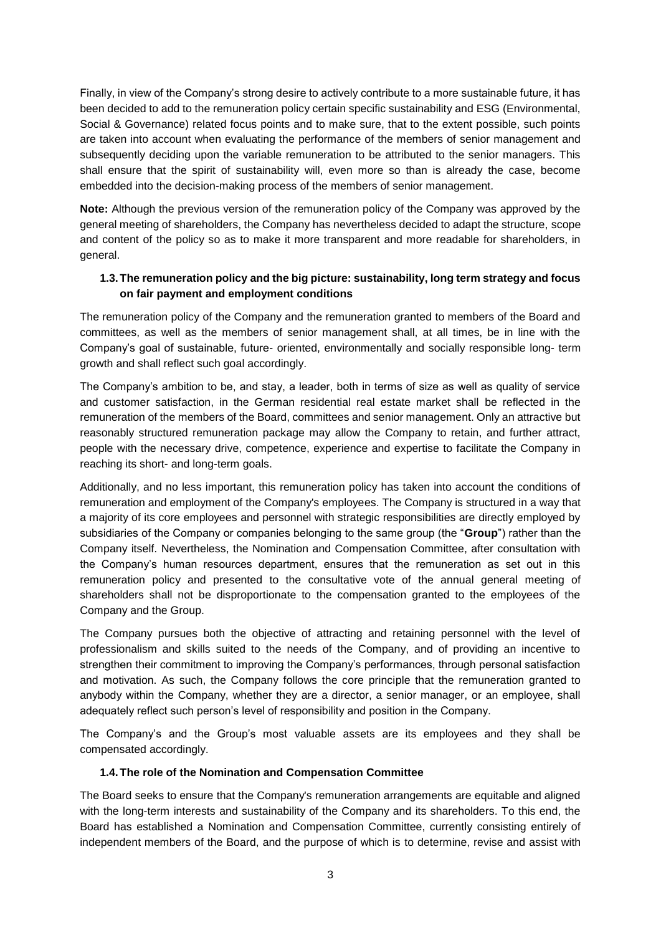Finally, in view of the Company's strong desire to actively contribute to a more sustainable future, it has been decided to add to the remuneration policy certain specific sustainability and ESG (Environmental, Social & Governance) related focus points and to make sure, that to the extent possible, such points are taken into account when evaluating the performance of the members of senior management and subsequently deciding upon the variable remuneration to be attributed to the senior managers. This shall ensure that the spirit of sustainability will, even more so than is already the case, become embedded into the decision-making process of the members of senior management.

**Note:** Although the previous version of the remuneration policy of the Company was approved by the general meeting of shareholders, the Company has nevertheless decided to adapt the structure, scope and content of the policy so as to make it more transparent and more readable for shareholders, in general.

# **1.3.The remuneration policy and the big picture: sustainability, long term strategy and focus on fair payment and employment conditions**

The remuneration policy of the Company and the remuneration granted to members of the Board and committees, as well as the members of senior management shall, at all times, be in line with the Company's goal of sustainable, future- oriented, environmentally and socially responsible long- term growth and shall reflect such goal accordingly.

The Company's ambition to be, and stay, a leader, both in terms of size as well as quality of service and customer satisfaction, in the German residential real estate market shall be reflected in the remuneration of the members of the Board, committees and senior management. Only an attractive but reasonably structured remuneration package may allow the Company to retain, and further attract, people with the necessary drive, competence, experience and expertise to facilitate the Company in reaching its short- and long-term goals.

Additionally, and no less important, this remuneration policy has taken into account the conditions of remuneration and employment of the Company's employees. The Company is structured in a way that a majority of its core employees and personnel with strategic responsibilities are directly employed by subsidiaries of the Company or companies belonging to the same group (the "**Group**") rather than the Company itself. Nevertheless, the Nomination and Compensation Committee, after consultation with the Company's human resources department, ensures that the remuneration as set out in this remuneration policy and presented to the consultative vote of the annual general meeting of shareholders shall not be disproportionate to the compensation granted to the employees of the Company and the Group.

The Company pursues both the objective of attracting and retaining personnel with the level of professionalism and skills suited to the needs of the Company, and of providing an incentive to strengthen their commitment to improving the Company's performances, through personal satisfaction and motivation. As such, the Company follows the core principle that the remuneration granted to anybody within the Company, whether they are a director, a senior manager, or an employee, shall adequately reflect such person's level of responsibility and position in the Company.

The Company's and the Group's most valuable assets are its employees and they shall be compensated accordingly.

### **1.4.The role of the Nomination and Compensation Committee**

The Board seeks to ensure that the Company's remuneration arrangements are equitable and aligned with the long-term interests and sustainability of the Company and its shareholders. To this end, the Board has established a Nomination and Compensation Committee, currently consisting entirely of independent members of the Board, and the purpose of which is to determine, revise and assist with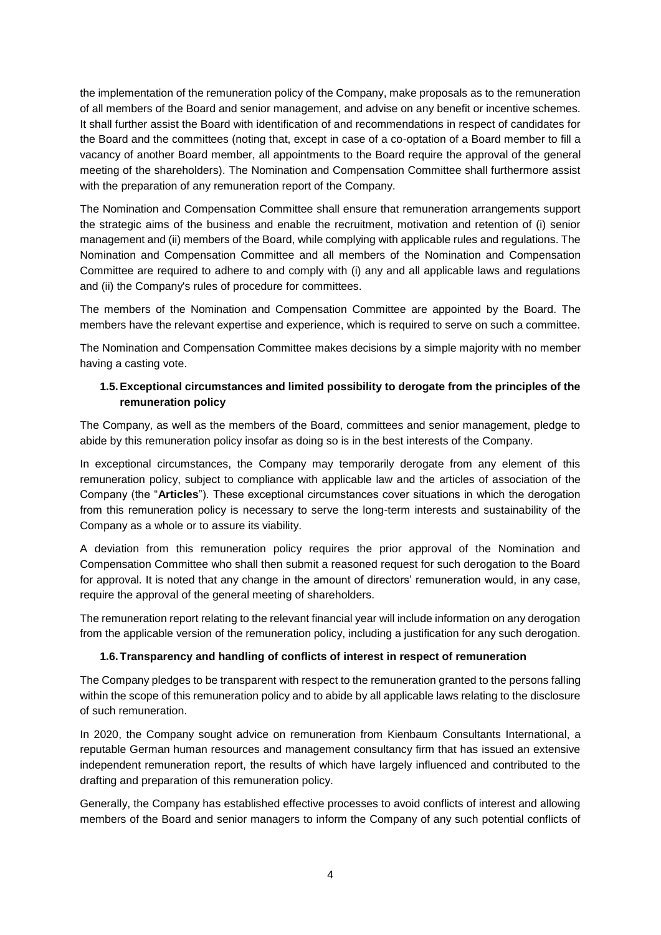the implementation of the remuneration policy of the Company, make proposals as to the remuneration of all members of the Board and senior management, and advise on any benefit or incentive schemes. It shall further assist the Board with identification of and recommendations in respect of candidates for the Board and the committees (noting that, except in case of a co-optation of a Board member to fill a vacancy of another Board member, all appointments to the Board require the approval of the general meeting of the shareholders). The Nomination and Compensation Committee shall furthermore assist with the preparation of any remuneration report of the Company.

The Nomination and Compensation Committee shall ensure that remuneration arrangements support the strategic aims of the business and enable the recruitment, motivation and retention of (i) senior management and (ii) members of the Board, while complying with applicable rules and regulations. The Nomination and Compensation Committee and all members of the Nomination and Compensation Committee are required to adhere to and comply with (i) any and all applicable laws and regulations and (ii) the Company's rules of procedure for committees.

The members of the Nomination and Compensation Committee are appointed by the Board. The members have the relevant expertise and experience, which is required to serve on such a committee.

The Nomination and Compensation Committee makes decisions by a simple majority with no member having a casting vote.

# **1.5.Exceptional circumstances and limited possibility to derogate from the principles of the remuneration policy**

The Company, as well as the members of the Board, committees and senior management, pledge to abide by this remuneration policy insofar as doing so is in the best interests of the Company.

In exceptional circumstances, the Company may temporarily derogate from any element of this remuneration policy, subject to compliance with applicable law and the articles of association of the Company (the "**Articles**"). These exceptional circumstances cover situations in which the derogation from this remuneration policy is necessary to serve the long-term interests and sustainability of the Company as a whole or to assure its viability.

A deviation from this remuneration policy requires the prior approval of the Nomination and Compensation Committee who shall then submit a reasoned request for such derogation to the Board for approval. It is noted that any change in the amount of directors' remuneration would, in any case, require the approval of the general meeting of shareholders.

The remuneration report relating to the relevant financial year will include information on any derogation from the applicable version of the remuneration policy, including a justification for any such derogation.

### **1.6.Transparency and handling of conflicts of interest in respect of remuneration**

The Company pledges to be transparent with respect to the remuneration granted to the persons falling within the scope of this remuneration policy and to abide by all applicable laws relating to the disclosure of such remuneration.

In 2020, the Company sought advice on remuneration from Kienbaum Consultants International, a reputable German human resources and management consultancy firm that has issued an extensive independent remuneration report, the results of which have largely influenced and contributed to the drafting and preparation of this remuneration policy.

Generally, the Company has established effective processes to avoid conflicts of interest and allowing members of the Board and senior managers to inform the Company of any such potential conflicts of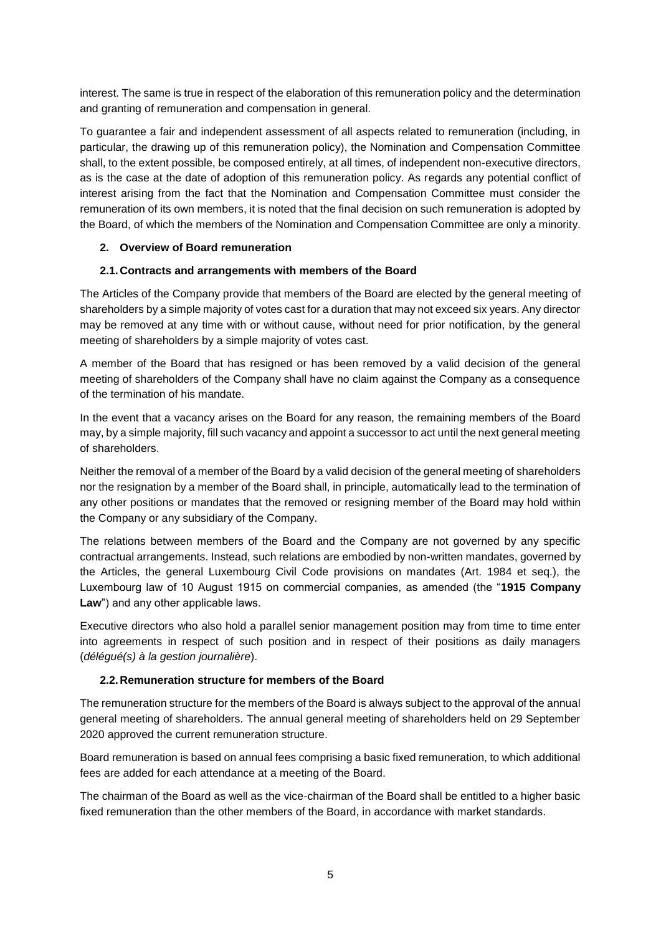interest. The same is true in respect of the elaboration of this remuneration policy and the determination and granting of remuneration and compensation in general.

To guarantee a fair and independent assessment of all aspects related to remuneration (including, in particular, the drawing up of this remuneration policy), the Nomination and Compensation Committee shall, to the extent possible, be composed entirely, at all times, of independent non-executive directors, as is the case at the date of adoption of this remuneration policy. As regards any potential conflict of interest arising from the fact that the Nomination and Compensation Committee must consider the remuneration of its own members, it is noted that the final decision on such remuneration is adopted by the Board, of which the members of the Nomination and Compensation Committee are only a minority.

# **2. Overview of Board remuneration**

# **2.1.Contracts and arrangements with members of the Board**

The Articles of the Company provide that members of the Board are elected by the general meeting of shareholders by a simple majority of votes cast for a duration that may not exceed six years. Any director may be removed at any time with or without cause, without need for prior notification, by the general meeting of shareholders by a simple majority of votes cast.

A member of the Board that has resigned or has been removed by a valid decision of the general meeting of shareholders of the Company shall have no claim against the Company as a consequence of the termination of his mandate.

In the event that a vacancy arises on the Board for any reason, the remaining members of the Board may, by a simple majority, fill such vacancy and appoint a successor to act until the next general meeting of shareholders.

Neither the removal of a member of the Board by a valid decision of the general meeting of shareholders nor the resignation by a member of the Board shall, in principle, automatically lead to the termination of any other positions or mandates that the removed or resigning member of the Board may hold within the Company or any subsidiary of the Company.

The relations between members of the Board and the Company are not governed by any specific contractual arrangements. Instead, such relations are embodied by non-written mandates, governed by the Articles, the general Luxembourg Civil Code provisions on mandates (Art. 1984 et seq.), the Luxembourg law of 10 August 1915 on commercial companies, as amended (the "**1915 Company Law**") and any other applicable laws.

Executive directors who also hold a parallel senior management position may from time to time enter into agreements in respect of such position and in respect of their positions as daily managers (*délégué(s) à la gestion journalière*).

### **2.2.Remuneration structure for members of the Board**

The remuneration structure for the members of the Board is always subject to the approval of the annual general meeting of shareholders. The annual general meeting of shareholders held on 29 September 2020 approved the current remuneration structure.

Board remuneration is based on annual fees comprising a basic fixed remuneration, to which additional fees are added for each attendance at a meeting of the Board.

The chairman of the Board as well as the vice-chairman of the Board shall be entitled to a higher basic fixed remuneration than the other members of the Board, in accordance with market standards.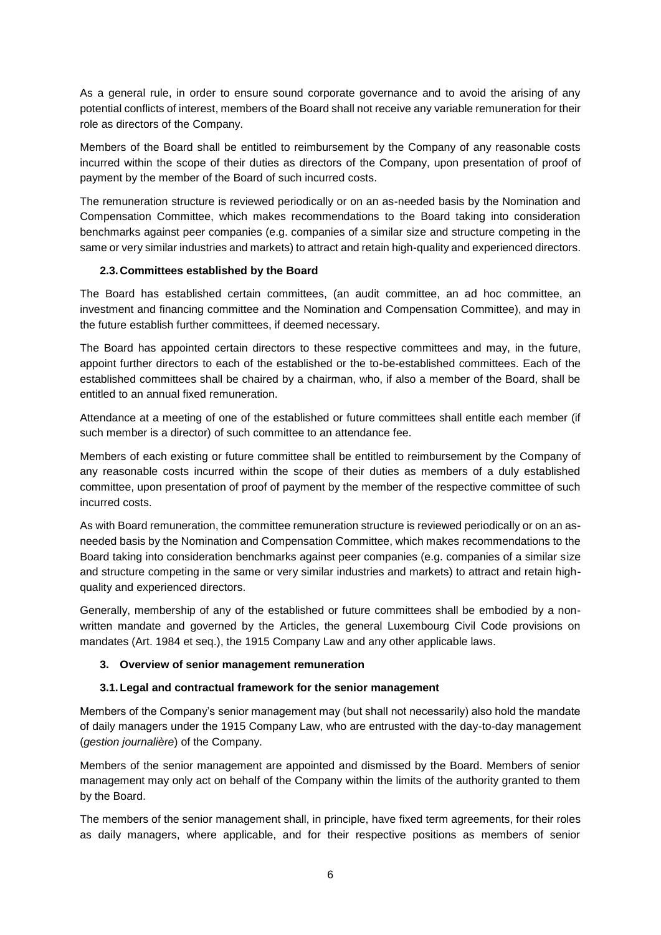As a general rule, in order to ensure sound corporate governance and to avoid the arising of any potential conflicts of interest, members of the Board shall not receive any variable remuneration for their role as directors of the Company.

Members of the Board shall be entitled to reimbursement by the Company of any reasonable costs incurred within the scope of their duties as directors of the Company, upon presentation of proof of payment by the member of the Board of such incurred costs.

The remuneration structure is reviewed periodically or on an as-needed basis by the Nomination and Compensation Committee, which makes recommendations to the Board taking into consideration benchmarks against peer companies (e.g. companies of a similar size and structure competing in the same or very similar industries and markets) to attract and retain high-quality and experienced directors.

# **2.3.Committees established by the Board**

The Board has established certain committees, (an audit committee, an ad hoc committee, an investment and financing committee and the Nomination and Compensation Committee), and may in the future establish further committees, if deemed necessary.

The Board has appointed certain directors to these respective committees and may, in the future, appoint further directors to each of the established or the to-be-established committees. Each of the established committees shall be chaired by a chairman, who, if also a member of the Board, shall be entitled to an annual fixed remuneration.

Attendance at a meeting of one of the established or future committees shall entitle each member (if such member is a director) of such committee to an attendance fee.

Members of each existing or future committee shall be entitled to reimbursement by the Company of any reasonable costs incurred within the scope of their duties as members of a duly established committee, upon presentation of proof of payment by the member of the respective committee of such incurred costs.

As with Board remuneration, the committee remuneration structure is reviewed periodically or on an asneeded basis by the Nomination and Compensation Committee, which makes recommendations to the Board taking into consideration benchmarks against peer companies (e.g. companies of a similar size and structure competing in the same or very similar industries and markets) to attract and retain highquality and experienced directors.

Generally, membership of any of the established or future committees shall be embodied by a nonwritten mandate and governed by the Articles, the general Luxembourg Civil Code provisions on mandates (Art. 1984 et seq.), the 1915 Company Law and any other applicable laws.

### **3. Overview of senior management remuneration**

# **3.1.Legal and contractual framework for the senior management**

Members of the Company's senior management may (but shall not necessarily) also hold the mandate of daily managers under the 1915 Company Law, who are entrusted with the day-to-day management (*gestion journalière*) of the Company.

Members of the senior management are appointed and dismissed by the Board. Members of senior management may only act on behalf of the Company within the limits of the authority granted to them by the Board.

The members of the senior management shall, in principle, have fixed term agreements, for their roles as daily managers, where applicable, and for their respective positions as members of senior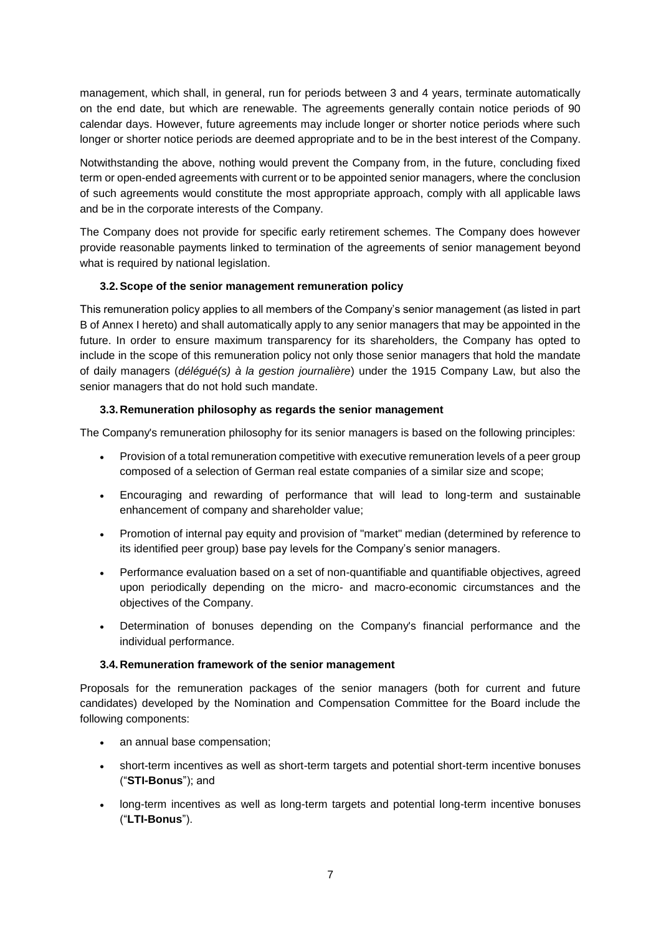management, which shall, in general, run for periods between 3 and 4 years, terminate automatically on the end date, but which are renewable. The agreements generally contain notice periods of 90 calendar days. However, future agreements may include longer or shorter notice periods where such longer or shorter notice periods are deemed appropriate and to be in the best interest of the Company.

Notwithstanding the above, nothing would prevent the Company from, in the future, concluding fixed term or open-ended agreements with current or to be appointed senior managers, where the conclusion of such agreements would constitute the most appropriate approach, comply with all applicable laws and be in the corporate interests of the Company.

The Company does not provide for specific early retirement schemes. The Company does however provide reasonable payments linked to termination of the agreements of senior management beyond what is required by national legislation.

# **3.2.Scope of the senior management remuneration policy**

This remuneration policy applies to all members of the Company's senior management (as listed in part B of Annex I hereto) and shall automatically apply to any senior managers that may be appointed in the future. In order to ensure maximum transparency for its shareholders, the Company has opted to include in the scope of this remuneration policy not only those senior managers that hold the mandate of daily managers (*délégué(s) à la gestion journalière*) under the 1915 Company Law, but also the senior managers that do not hold such mandate.

# **3.3.Remuneration philosophy as regards the senior management**

The Company's remuneration philosophy for its senior managers is based on the following principles:

- Provision of a total remuneration competitive with executive remuneration levels of a peer group composed of a selection of German real estate companies of a similar size and scope;
- Encouraging and rewarding of performance that will lead to long-term and sustainable enhancement of company and shareholder value;
- Promotion of internal pay equity and provision of "market" median (determined by reference to its identified peer group) base pay levels for the Company's senior managers.
- Performance evaluation based on a set of non-quantifiable and quantifiable objectives, agreed upon periodically depending on the micro- and macro-economic circumstances and the objectives of the Company.
- Determination of bonuses depending on the Company's financial performance and the individual performance.

### **3.4.Remuneration framework of the senior management**

Proposals for the remuneration packages of the senior managers (both for current and future candidates) developed by the Nomination and Compensation Committee for the Board include the following components:

- an annual base compensation;
- short-term incentives as well as short-term targets and potential short-term incentive bonuses ("**STI-Bonus**"); and
- long-term incentives as well as long-term targets and potential long-term incentive bonuses ("**LTI-Bonus**").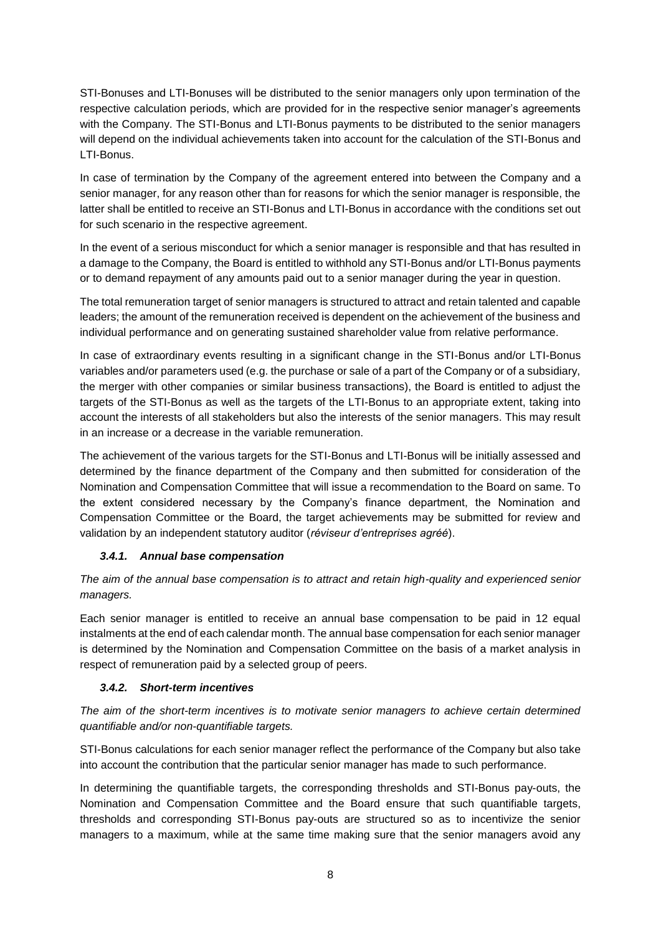STI-Bonuses and LTI-Bonuses will be distributed to the senior managers only upon termination of the respective calculation periods, which are provided for in the respective senior manager's agreements with the Company. The STI-Bonus and LTI-Bonus payments to be distributed to the senior managers will depend on the individual achievements taken into account for the calculation of the STI-Bonus and LTI-Bonus.

In case of termination by the Company of the agreement entered into between the Company and a senior manager, for any reason other than for reasons for which the senior manager is responsible, the latter shall be entitled to receive an STI-Bonus and LTI-Bonus in accordance with the conditions set out for such scenario in the respective agreement.

In the event of a serious misconduct for which a senior manager is responsible and that has resulted in a damage to the Company, the Board is entitled to withhold any STI-Bonus and/or LTI-Bonus payments or to demand repayment of any amounts paid out to a senior manager during the year in question.

The total remuneration target of senior managers is structured to attract and retain talented and capable leaders; the amount of the remuneration received is dependent on the achievement of the business and individual performance and on generating sustained shareholder value from relative performance.

In case of extraordinary events resulting in a significant change in the STI-Bonus and/or LTI-Bonus variables and/or parameters used (e.g. the purchase or sale of a part of the Company or of a subsidiary, the merger with other companies or similar business transactions), the Board is entitled to adjust the targets of the STI-Bonus as well as the targets of the LTI-Bonus to an appropriate extent, taking into account the interests of all stakeholders but also the interests of the senior managers. This may result in an increase or a decrease in the variable remuneration.

The achievement of the various targets for the STI-Bonus and LTI-Bonus will be initially assessed and determined by the finance department of the Company and then submitted for consideration of the Nomination and Compensation Committee that will issue a recommendation to the Board on same. To the extent considered necessary by the Company's finance department, the Nomination and Compensation Committee or the Board, the target achievements may be submitted for review and validation by an independent statutory auditor (*réviseur d'entreprises agréé*).

# *3.4.1. Annual base compensation*

*The aim of the annual base compensation is to attract and retain high-quality and experienced senior managers.*

Each senior manager is entitled to receive an annual base compensation to be paid in 12 equal instalments at the end of each calendar month. The annual base compensation for each senior manager is determined by the Nomination and Compensation Committee on the basis of a market analysis in respect of remuneration paid by a selected group of peers.

### *3.4.2. Short-term incentives*

*The aim of the short-term incentives is to motivate senior managers to achieve certain determined quantifiable and/or non-quantifiable targets.* 

STI-Bonus calculations for each senior manager reflect the performance of the Company but also take into account the contribution that the particular senior manager has made to such performance.

In determining the quantifiable targets, the corresponding thresholds and STI-Bonus pay-outs, the Nomination and Compensation Committee and the Board ensure that such quantifiable targets, thresholds and corresponding STI-Bonus pay-outs are structured so as to incentivize the senior managers to a maximum, while at the same time making sure that the senior managers avoid any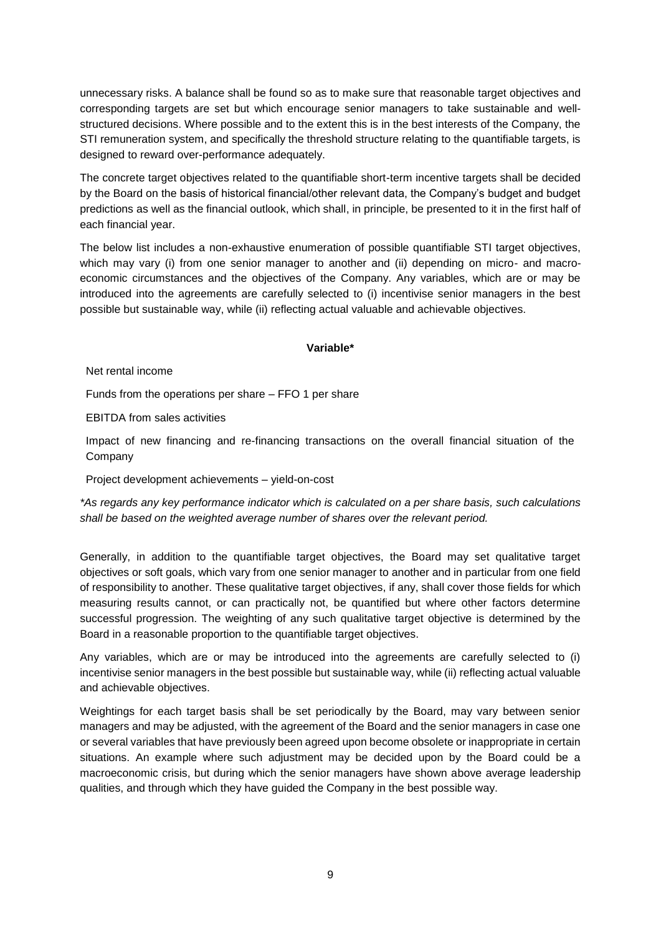unnecessary risks. A balance shall be found so as to make sure that reasonable target objectives and corresponding targets are set but which encourage senior managers to take sustainable and wellstructured decisions. Where possible and to the extent this is in the best interests of the Company, the STI remuneration system, and specifically the threshold structure relating to the quantifiable targets, is designed to reward over-performance adequately.

The concrete target objectives related to the quantifiable short-term incentive targets shall be decided by the Board on the basis of historical financial/other relevant data, the Company's budget and budget predictions as well as the financial outlook, which shall, in principle, be presented to it in the first half of each financial year.

The below list includes a non-exhaustive enumeration of possible quantifiable STI target objectives, which may vary (i) from one senior manager to another and (ii) depending on micro- and macroeconomic circumstances and the objectives of the Company. Any variables, which are or may be introduced into the agreements are carefully selected to (i) incentivise senior managers in the best possible but sustainable way, while (ii) reflecting actual valuable and achievable objectives.

### **Variable\***

Net rental income

Funds from the operations per share – FFO 1 per share

EBITDA from sales activities

Impact of new financing and re-financing transactions on the overall financial situation of the Company

Project development achievements – yield-on-cost

*\*As regards any key performance indicator which is calculated on a per share basis, such calculations shall be based on the weighted average number of shares over the relevant period.*

Generally, in addition to the quantifiable target objectives, the Board may set qualitative target objectives or soft goals, which vary from one senior manager to another and in particular from one field of responsibility to another. These qualitative target objectives, if any, shall cover those fields for which measuring results cannot, or can practically not, be quantified but where other factors determine successful progression. The weighting of any such qualitative target objective is determined by the Board in a reasonable proportion to the quantifiable target objectives.

Any variables, which are or may be introduced into the agreements are carefully selected to (i) incentivise senior managers in the best possible but sustainable way, while (ii) reflecting actual valuable and achievable objectives.

Weightings for each target basis shall be set periodically by the Board, may vary between senior managers and may be adjusted, with the agreement of the Board and the senior managers in case one or several variables that have previously been agreed upon become obsolete or inappropriate in certain situations. An example where such adjustment may be decided upon by the Board could be a macroeconomic crisis, but during which the senior managers have shown above average leadership qualities, and through which they have guided the Company in the best possible way.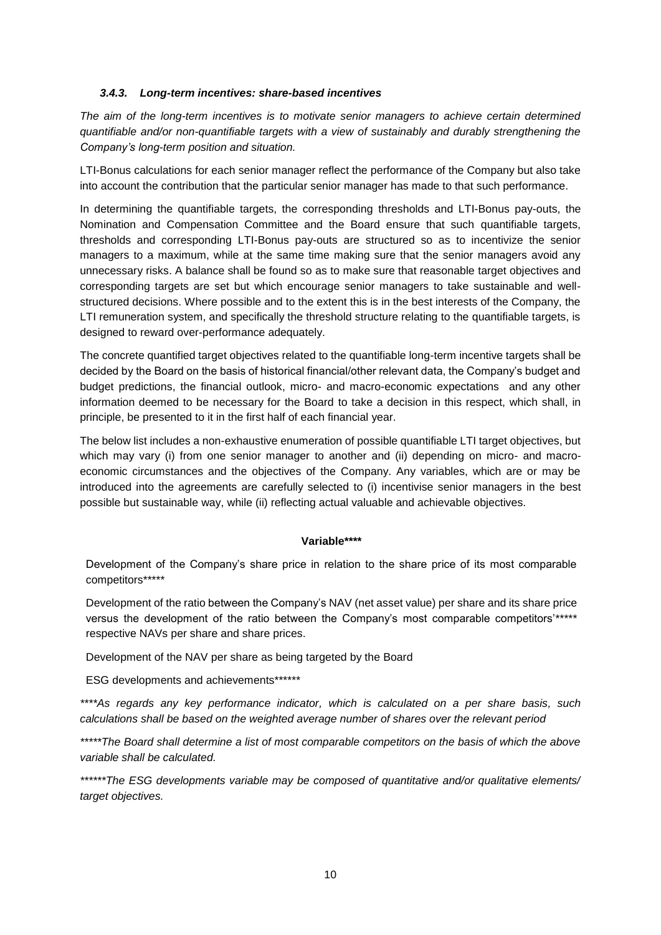### *3.4.3. Long-term incentives: share-based incentives*

*The aim of the long-term incentives is to motivate senior managers to achieve certain determined quantifiable and/or non-quantifiable targets with a view of sustainably and durably strengthening the Company's long-term position and situation.* 

LTI-Bonus calculations for each senior manager reflect the performance of the Company but also take into account the contribution that the particular senior manager has made to that such performance.

In determining the quantifiable targets, the corresponding thresholds and LTI-Bonus pay-outs, the Nomination and Compensation Committee and the Board ensure that such quantifiable targets, thresholds and corresponding LTI-Bonus pay-outs are structured so as to incentivize the senior managers to a maximum, while at the same time making sure that the senior managers avoid any unnecessary risks. A balance shall be found so as to make sure that reasonable target objectives and corresponding targets are set but which encourage senior managers to take sustainable and wellstructured decisions. Where possible and to the extent this is in the best interests of the Company, the LTI remuneration system, and specifically the threshold structure relating to the quantifiable targets, is designed to reward over-performance adequately.

The concrete quantified target objectives related to the quantifiable long-term incentive targets shall be decided by the Board on the basis of historical financial/other relevant data, the Company's budget and budget predictions, the financial outlook, micro- and macro-economic expectations and any other information deemed to be necessary for the Board to take a decision in this respect, which shall, in principle, be presented to it in the first half of each financial year.

The below list includes a non-exhaustive enumeration of possible quantifiable LTI target objectives, but which may vary (i) from one senior manager to another and (ii) depending on micro- and macroeconomic circumstances and the objectives of the Company. Any variables, which are or may be introduced into the agreements are carefully selected to (i) incentivise senior managers in the best possible but sustainable way, while (ii) reflecting actual valuable and achievable objectives.

### **Variable\*\*\*\***

Development of the Company's share price in relation to the share price of its most comparable competitors\*\*\*\*\*

Development of the ratio between the Company's NAV (net asset value) per share and its share price versus the development of the ratio between the Company's most comparable competitors'\*\*\*\*\* respective NAVs per share and share prices.

Development of the NAV per share as being targeted by the Board

ESG developments and achievements\*\*\*\*\*\*\*

*\*\*\*\*As regards any key performance indicator, which is calculated on a per share basis, such calculations shall be based on the weighted average number of shares over the relevant period*

*\*\*\*\*\*The Board shall determine a list of most comparable competitors on the basis of which the above variable shall be calculated.*

*\*\*\*\*\*\*The ESG developments variable may be composed of quantitative and/or qualitative elements/ target objectives.*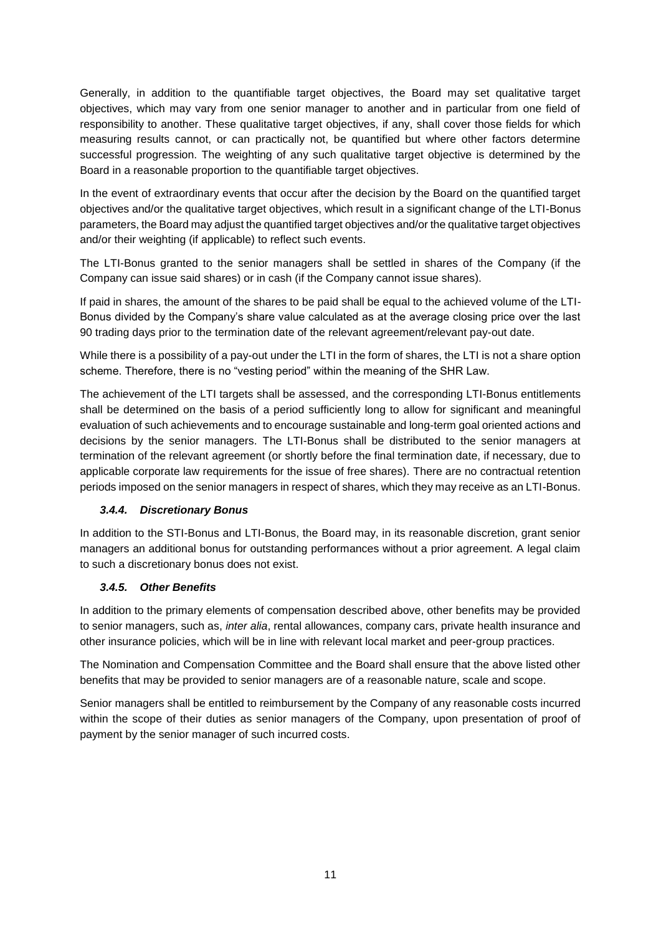Generally, in addition to the quantifiable target objectives, the Board may set qualitative target objectives, which may vary from one senior manager to another and in particular from one field of responsibility to another. These qualitative target objectives, if any, shall cover those fields for which measuring results cannot, or can practically not, be quantified but where other factors determine successful progression. The weighting of any such qualitative target objective is determined by the Board in a reasonable proportion to the quantifiable target objectives.

In the event of extraordinary events that occur after the decision by the Board on the quantified target objectives and/or the qualitative target objectives, which result in a significant change of the LTI-Bonus parameters, the Board may adjust the quantified target objectives and/or the qualitative target objectives and/or their weighting (if applicable) to reflect such events.

The LTI-Bonus granted to the senior managers shall be settled in shares of the Company (if the Company can issue said shares) or in cash (if the Company cannot issue shares).

If paid in shares, the amount of the shares to be paid shall be equal to the achieved volume of the LTI-Bonus divided by the Company's share value calculated as at the average closing price over the last 90 trading days prior to the termination date of the relevant agreement/relevant pay-out date.

While there is a possibility of a pay-out under the LTI in the form of shares, the LTI is not a share option scheme. Therefore, there is no "vesting period" within the meaning of the SHR Law.

The achievement of the LTI targets shall be assessed, and the corresponding LTI-Bonus entitlements shall be determined on the basis of a period sufficiently long to allow for significant and meaningful evaluation of such achievements and to encourage sustainable and long-term goal oriented actions and decisions by the senior managers. The LTI-Bonus shall be distributed to the senior managers at termination of the relevant agreement (or shortly before the final termination date, if necessary, due to applicable corporate law requirements for the issue of free shares). There are no contractual retention periods imposed on the senior managers in respect of shares, which they may receive as an LTI-Bonus.

# *3.4.4. Discretionary Bonus*

In addition to the STI-Bonus and LTI-Bonus, the Board may, in its reasonable discretion, grant senior managers an additional bonus for outstanding performances without a prior agreement. A legal claim to such a discretionary bonus does not exist.

### *3.4.5. Other Benefits*

In addition to the primary elements of compensation described above, other benefits may be provided to senior managers, such as, *inter alia*, rental allowances, company cars, private health insurance and other insurance policies, which will be in line with relevant local market and peer-group practices.

The Nomination and Compensation Committee and the Board shall ensure that the above listed other benefits that may be provided to senior managers are of a reasonable nature, scale and scope.

Senior managers shall be entitled to reimbursement by the Company of any reasonable costs incurred within the scope of their duties as senior managers of the Company, upon presentation of proof of payment by the senior manager of such incurred costs.